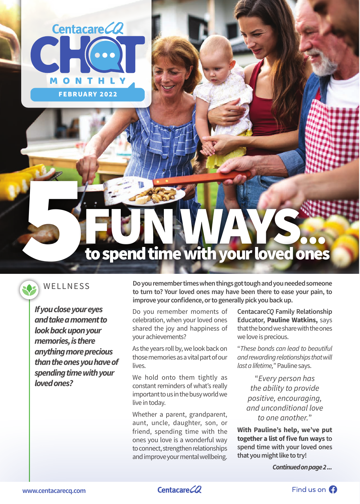



5

*If you close your eyes and take a moment to look back upon your memories, is there anything more precious than the ones you have of spending time with your loved ones?*

FEBRUARY 2022

N

THL

Centacare CQ

WELLNESS **Do you remember times when things got tough and you needed someone to turn to? Your loved ones may have been there to ease your pain, to improve your confidence, or to generally pick you back up.**

> Do you remember moments of celebration, when your loved ones shared the joy and happiness of your achievements?

> As the years roll by, we look back on those memories as a vital part of our lives.

> We hold onto them tightly as constant reminders of what's really important to us in the busy world we live in today.

> Whether a parent, grandparent, aunt, uncle, daughter, son, or friend, spending time with the ones you love is a wonderful way to connect, strengthen relationships and improve your mental wellbeing.

**Centacare***CQ* **Family Relationship Educator, Pauline Watkins,** says that the bond we share with the ones we love is precious.

"*These bonds can lead to beautiful and rewarding relationships that will last a lifetime,*" Pauline says.

"*Every person has the ability to provide positive, encouraging, and unconditional love to one another.*"

**With Pauline's help, we've put together a list of five fun ways to spend time with your loved ones that you might like to try!**

 *Continued on page 2 ...*

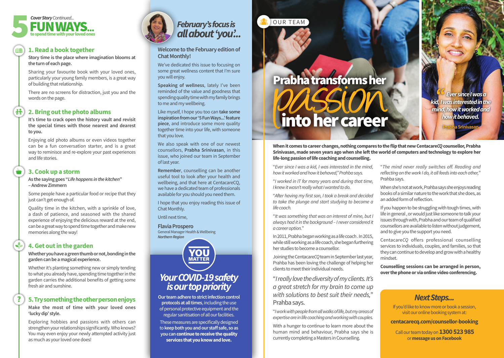### **1. Read a book together**

**Story time is the place where imagination blooms at the turn of each page.** 

Sharing your favourite book with your loved ones, particularly your young family members, is a great way of building that relationship.

There are no screens for distraction, just you and the words on the page.

### **2. Bring out the photo albums**

**It's time to crack open the history vault and revisit the special times with those nearest and dearest to you.**

Enjoying old photo albums or even videos together can be a fun conversation starter, and is a great way to reminisce and re-explore your past experiences and life stories.

### **3. Cook up a storm**

诗

**As the saying goes "***Life happens in the kitchen***" – Andrew Zimmern**

Some people have a particular food or recipe that they just can't get enough of.

Quality time in the kitchen, with a sprinkle of love, a dash of patience, and seasoned with the shared experience of enjoying the delicious reward at the end, can be a great way to spend time together and make new memories along the way!

# **4. Get out in the garden**

**Whether you have a green thumb or not, bonding in the garden can be a magical experience.**

Whether it's planting something new or simply tending to what you already have, spending time together in the garden carries the additional benefits of getting some fresh air and sunshine.

# **5. Try something the other person enjoys**

**Make the most of time with your loved ones 'lucky dip' style.** 

Exploring hobbies and passions with others can strengthen your relationships significantly. Who knows? You may even enjoy your newly attempted activity just as much as your loved one does!





**Welcome to the February edition of Chat Monthly!** 

We've dedicated this issue to focusing on some great wellness content that I'm sure you will enjoy.

**Speaking of wellness**, lately I've been reminded of the value and goodness that spending quality time with my family brings to me and my wellbeing.

Like myself, I hope you too can **take some inspiration from our '5 Fun Ways...' feature piece**, and introduce some more quality together time into your life, with someone that you love.

We also speak with one of our newest counsellors, **Prabha Srinivasan**, in this issue, who joined our team in September of last year.

**Remember**, counselling can be another useful tool to look after your health and wellbeing, and that here at CentacareCQ, we have a dedicated team of professionals available for you should you need them.

I hope that you enjoy reading this issue of Chat Monthly.

Until next time,

**Flavia Prospero**

General Manager Health & Wellbeing *Northern Region*

"*Ever since I was a kid, I was interested in the mind, how it worked and how it behaved," Prahba says.*

"*I worked in IT for many years and during that time, I knew it wasn't really what I wanted to do.* 

"*After having my first son, I took a break and decided to take the plunge and start studying to become a life coach.*

"*It was something that was an interest of mine, but I always had it in the background – I never considered it a career option.*"

In 2011, Prabha began working as a life coach . In 2015, while still working as a life coach, she began furthering her studies to become a counsellor.

Joining the Centacare*CQ* team in September last year, Prahba has been loving the challenge of helping her clients to meet their individual needs.

"*I really love the diversity of my clients. It's a great stretch for my brain to come up with solutions to best suit their needs,*" Prahba says.

"*I work with people from all walks of life, but my areas of expertise are in life coaching and working with couples.*

With a hunger to continue to learn more about the human mind and behaviour, Prabha says she is currently completing a Masters in Counselling.

"*The mind never really switches off. Reading and reflecting on the work I do, it all feeds into each other,*" Prahba says.

When she's not at work, Prahba says she enjoys reading books of a similar nature to the work that she does, as an added form of reflection.

If you happen to be struggling with tough times, with life in general , or would just like someone to talk your issues through with, Prabha and our team of qualified counsellors are available to listen without judgement, and to give you the support you need.

Centacare*CQ* offers professional counselling services to individuals, couples, and families, so that they can continue to develop and grow with a healthy mindset.

**Counselling sessions can be arranged in person, over the phone or via online video conferencing.**

# *February's focus is all about 'you'...*

*Your COVID-19 safety is our top priority*

**MATTER** 

**Our team adhere to strict infection control protocols at all times**, including the use of personal protective equipment and the regular sanitisation of all our facilities. These measures are specifically designed to **keep both you and our staff safe, so as** 

**you can continue to receive the quality services that you know and love.**

OUR TEAM

**When it comes to career changes, nothing compares to the flip that new Centacare***CQ* **counsellor, Prabha Srinivasan, made seven years ago when she left the world of computers and technology to explore her life-long passion of life coaching and counselling.** 

# Prabha transforms her into her career



If you'd like to know more or book a session, visit our online booking system at:

**centacarecq.com/counsellor-booking**

 Call our team today on **1300 523 985**  or **message us on Facebook**

# *Next Steps...*